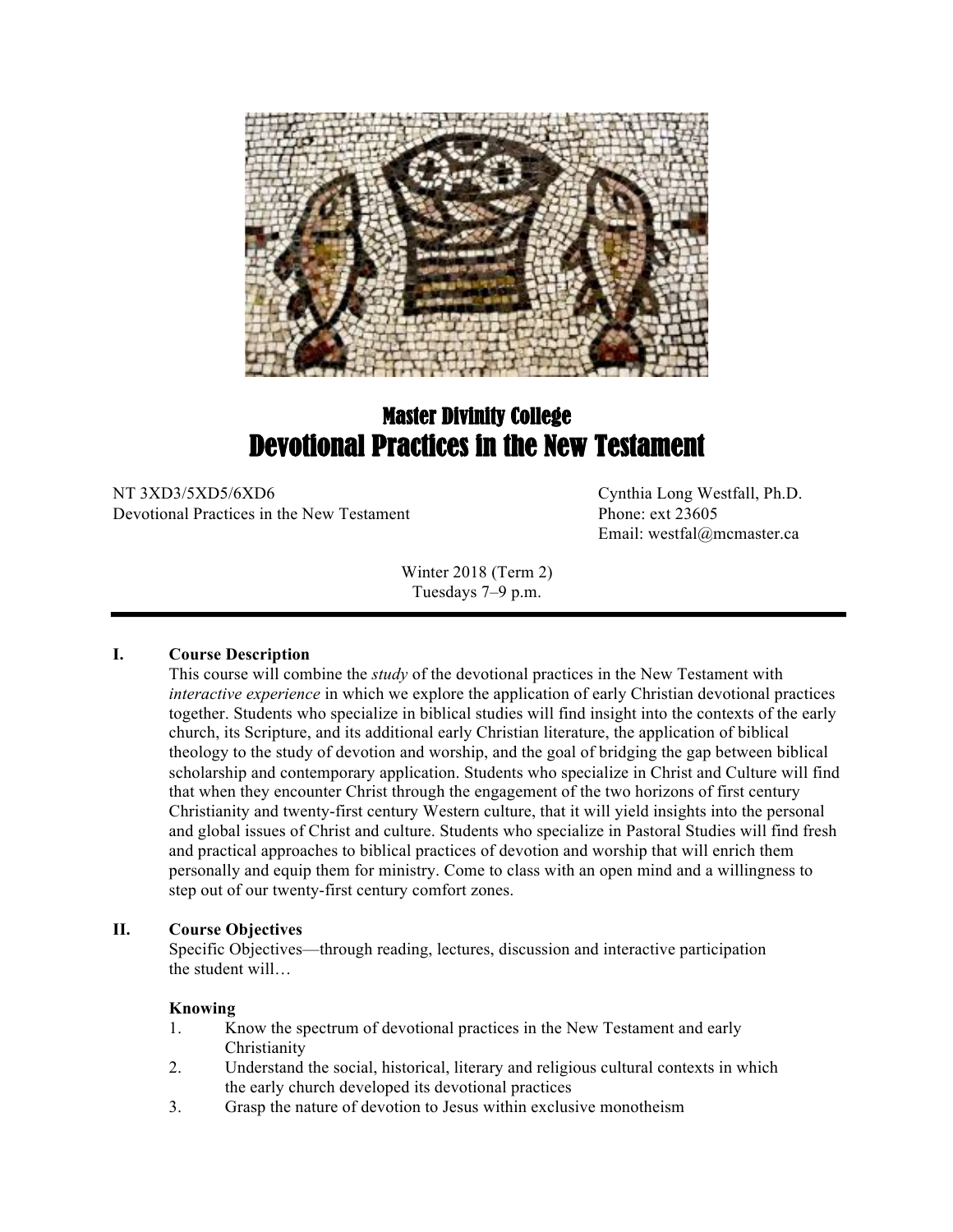

# Master Divinity College Devotional Practices in the New Testament

NT 3XD3/5XD5/6XD6 Cynthia Long Westfall, Ph.D. Devotional Practices in the New Testament Phone: ext 23605

Email: westfal@mcmaster.ca

Winter 2018 (Term 2) Tuesdays 7–9 p.m.

## **I. Course Description**

This course will combine the *study* of the devotional practices in the New Testament with *interactive experience* in which we explore the application of early Christian devotional practices together. Students who specialize in biblical studies will find insight into the contexts of the early church, its Scripture, and its additional early Christian literature, the application of biblical theology to the study of devotion and worship, and the goal of bridging the gap between biblical scholarship and contemporary application. Students who specialize in Christ and Culture will find that when they encounter Christ through the engagement of the two horizons of first century Christianity and twenty-first century Western culture, that it will yield insights into the personal and global issues of Christ and culture. Students who specialize in Pastoral Studies will find fresh and practical approaches to biblical practices of devotion and worship that will enrich them personally and equip them for ministry. Come to class with an open mind and a willingness to step out of our twenty-first century comfort zones.

## **II. Course Objectives**

Specific Objectives—through reading, lectures, discussion and interactive participation the student will…

## **Knowing**

- 1. Know the spectrum of devotional practices in the New Testament and early Christianity
- 2. Understand the social, historical, literary and religious cultural contexts in which the early church developed its devotional practices
- 3. Grasp the nature of devotion to Jesus within exclusive monotheism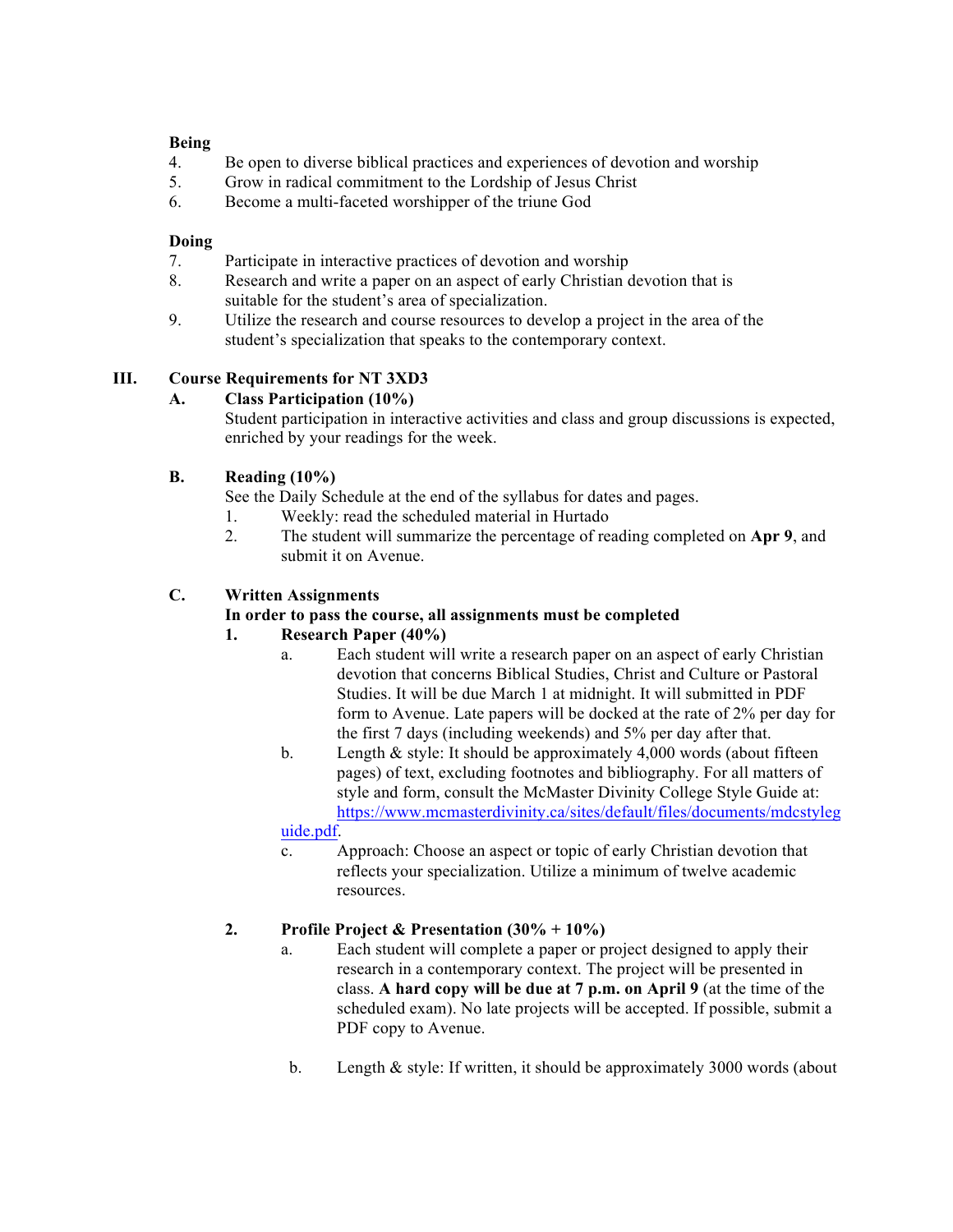## **Being**

- 4. Be open to diverse biblical practices and experiences of devotion and worship
- 5. Grow in radical commitment to the Lordship of Jesus Christ
- 6. Become a multi-faceted worshipper of the triune God

## **Doing**

- 7. Participate in interactive practices of devotion and worship
- 8. Research and write a paper on an aspect of early Christian devotion that is suitable for the student's area of specialization.
- 9. Utilize the research and course resources to develop a project in the area of the student's specialization that speaks to the contemporary context.

# **III. Course Requirements for NT 3XD3**

## **A. Class Participation (10%)**

Student participation in interactive activities and class and group discussions is expected, enriched by your readings for the week.

# **B. Reading (10%)**

See the Daily Schedule at the end of the syllabus for dates and pages.

- 1. Weekly: read the scheduled material in Hurtado
- 2. The student will summarize the percentage of reading completed on **Apr 9**, and submit it on Avenue.

## **C. Written Assignments**

## **In order to pass the course, all assignments must be completed**

# **1. Research Paper (40%)**

- a. Each student will write a research paper on an aspect of early Christian devotion that concerns Biblical Studies, Christ and Culture or Pastoral Studies. It will be due March 1 at midnight. It will submitted in PDF form to Avenue. Late papers will be docked at the rate of 2% per day for the first 7 days (including weekends) and 5% per day after that.
- b. Length & style: It should be approximately 4,000 words (about fifteen pages) of text, excluding footnotes and bibliography. For all matters of style and form, consult the McMaster Divinity College Style Guide at: https://www.mcmasterdivinity.ca/sites/default/files/documents/mdcstyleg uide.pdf.

c. Approach: Choose an aspect or topic of early Christian devotion that reflects your specialization. Utilize a minimum of twelve academic resources.

# **2. Profile Project & Presentation (30% + 10%)**

- a. Each student will complete a paper or project designed to apply their research in a contemporary context. The project will be presented in class. **A hard copy will be due at 7 p.m. on April 9** (at the time of the scheduled exam). No late projects will be accepted. If possible, submit a PDF copy to Avenue.
- b. Length & style: If written, it should be approximately 3000 words (about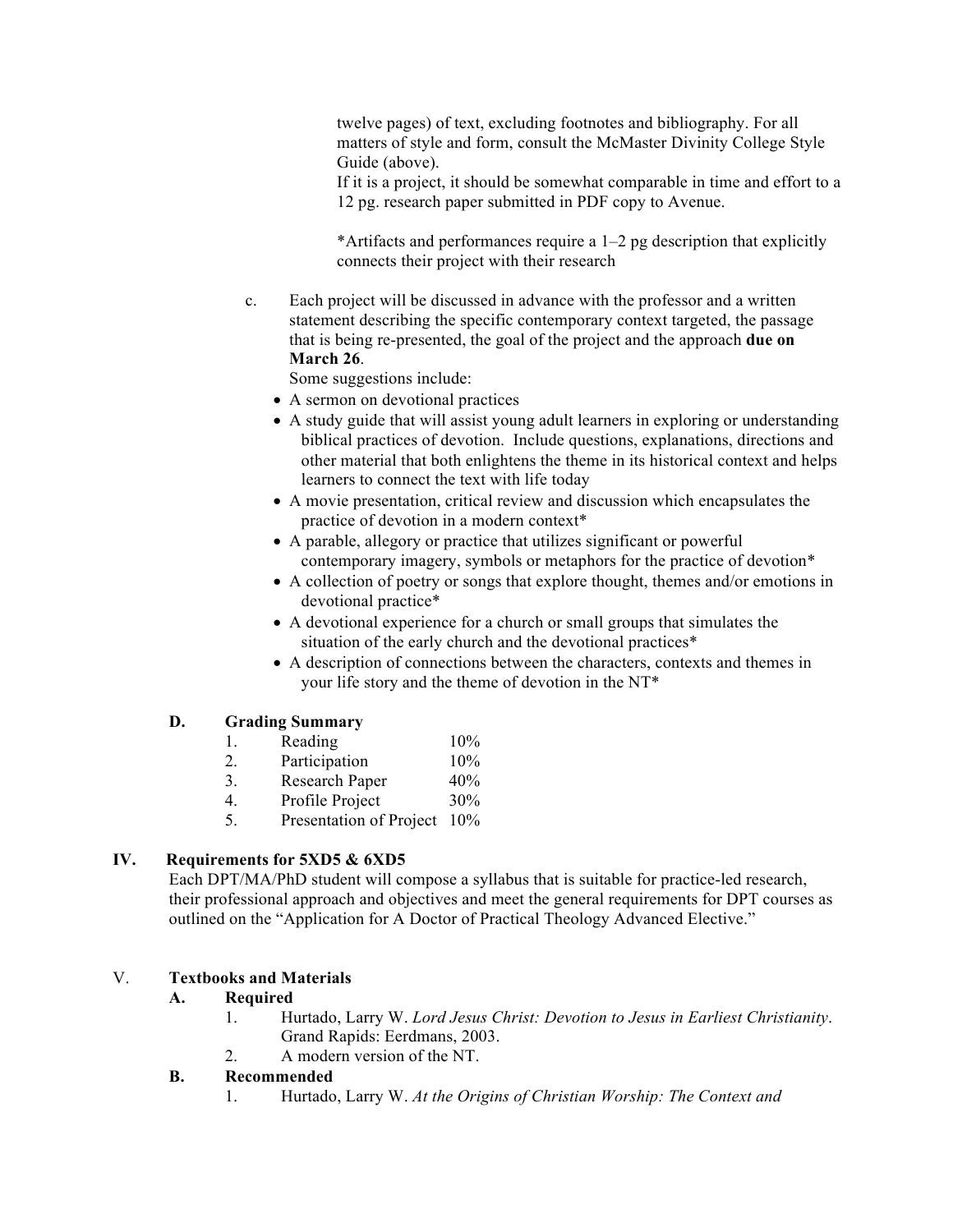twelve pages) of text, excluding footnotes and bibliography. For all matters of style and form, consult the McMaster Divinity College Style Guide (above).

If it is a project, it should be somewhat comparable in time and effort to a 12 pg. research paper submitted in PDF copy to Avenue.

\*Artifacts and performances require a 1–2 pg description that explicitly connects their project with their research

c. Each project will be discussed in advance with the professor and a written statement describing the specific contemporary context targeted, the passage that is being re-presented, the goal of the project and the approach **due on March 26**.

Some suggestions include:

- A sermon on devotional practices
- A study guide that will assist young adult learners in exploring or understanding biblical practices of devotion. Include questions, explanations, directions and other material that both enlightens the theme in its historical context and helps learners to connect the text with life today
- A movie presentation, critical review and discussion which encapsulates the practice of devotion in a modern context\*
- A parable, allegory or practice that utilizes significant or powerful contemporary imagery, symbols or metaphors for the practice of devotion\*
- A collection of poetry or songs that explore thought, themes and/or emotions in devotional practice\*
- A devotional experience for a church or small groups that simulates the situation of the early church and the devotional practices\*
- A description of connections between the characters, contexts and themes in your life story and the theme of devotion in the NT\*

## **D. Grading Summary**

- 1. Reading  $10\%$
- 2. Participation 10%
- 3. Research Paper 40%
- 4. Profile Project 30%
- 5. Presentation of Project 10%

# **IV. Requirements for 5XD5 & 6XD5**

Each DPT/MA/PhD student will compose a syllabus that is suitable for practice-led research, their professional approach and objectives and meet the general requirements for DPT courses as outlined on the "Application for A Doctor of Practical Theology Advanced Elective."

## V. **Textbooks and Materials**

## **A. Required**

- 1. Hurtado, Larry W. *Lord Jesus Christ: Devotion to Jesus in Earliest Christianity*. Grand Rapids: Eerdmans, 2003.
- 2. A modern version of the NT.

## **B. Recommended**

1. Hurtado, Larry W. *At the Origins of Christian Worship: The Context and*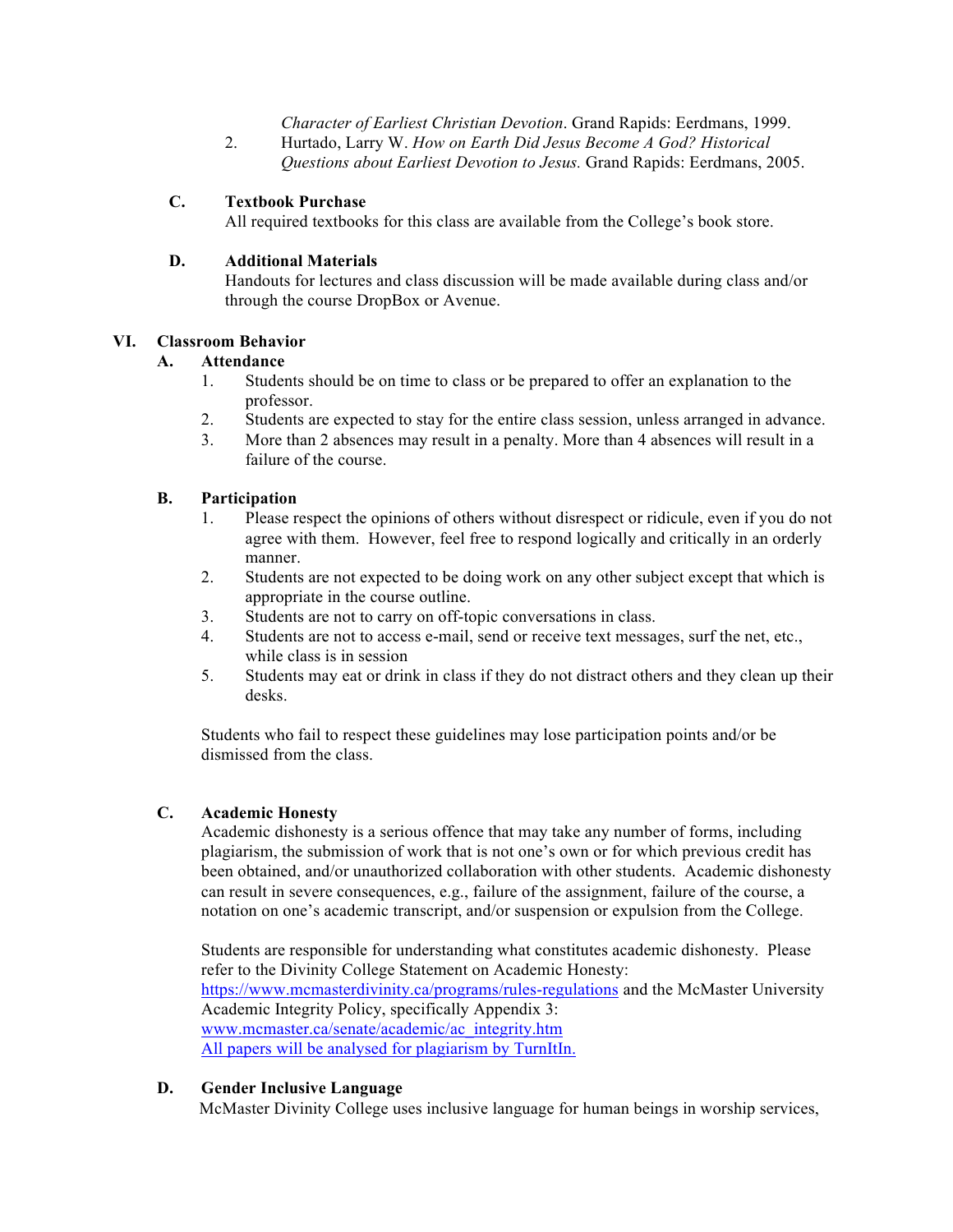*Character of Earliest Christian Devotion*. Grand Rapids: Eerdmans, 1999.

2. Hurtado, Larry W. *How on Earth Did Jesus Become A God? Historical Questions about Earliest Devotion to Jesus.* Grand Rapids: Eerdmans, 2005.

# **C. Textbook Purchase**

All required textbooks for this class are available from the College's book store.

## **D. Additional Materials**

Handouts for lectures and class discussion will be made available during class and/or through the course DropBox or Avenue.

## **VI. Classroom Behavior**

## **A. Attendance**

- 1. Students should be on time to class or be prepared to offer an explanation to the professor.
- 2. Students are expected to stay for the entire class session, unless arranged in advance.
- 3. More than 2 absences may result in a penalty. More than 4 absences will result in a failure of the course.

## **B. Participation**

- 1. Please respect the opinions of others without disrespect or ridicule, even if you do not agree with them. However, feel free to respond logically and critically in an orderly manner.
- 2. Students are not expected to be doing work on any other subject except that which is appropriate in the course outline.
- 3. Students are not to carry on off-topic conversations in class.
- 4. Students are not to access e-mail, send or receive text messages, surf the net, etc., while class is in session
- 5. Students may eat or drink in class if they do not distract others and they clean up their desks.

Students who fail to respect these guidelines may lose participation points and/or be dismissed from the class.

## **C. Academic Honesty**

Academic dishonesty is a serious offence that may take any number of forms, including plagiarism, the submission of work that is not one's own or for which previous credit has been obtained, and/or unauthorized collaboration with other students. Academic dishonesty can result in severe consequences, e.g., failure of the assignment, failure of the course, a notation on one's academic transcript, and/or suspension or expulsion from the College.

Students are responsible for understanding what constitutes academic dishonesty. Please refer to the Divinity College Statement on Academic Honesty: https://www.mcmasterdivinity.ca/programs/rules-regulations and the McMaster University Academic Integrity Policy, specifically Appendix 3: www.mcmaster.ca/senate/academic/ac\_integrity.htm All papers will be analysed for plagiarism by TurnItIn.

# **D. Gender Inclusive Language**

McMaster Divinity College uses inclusive language for human beings in worship services,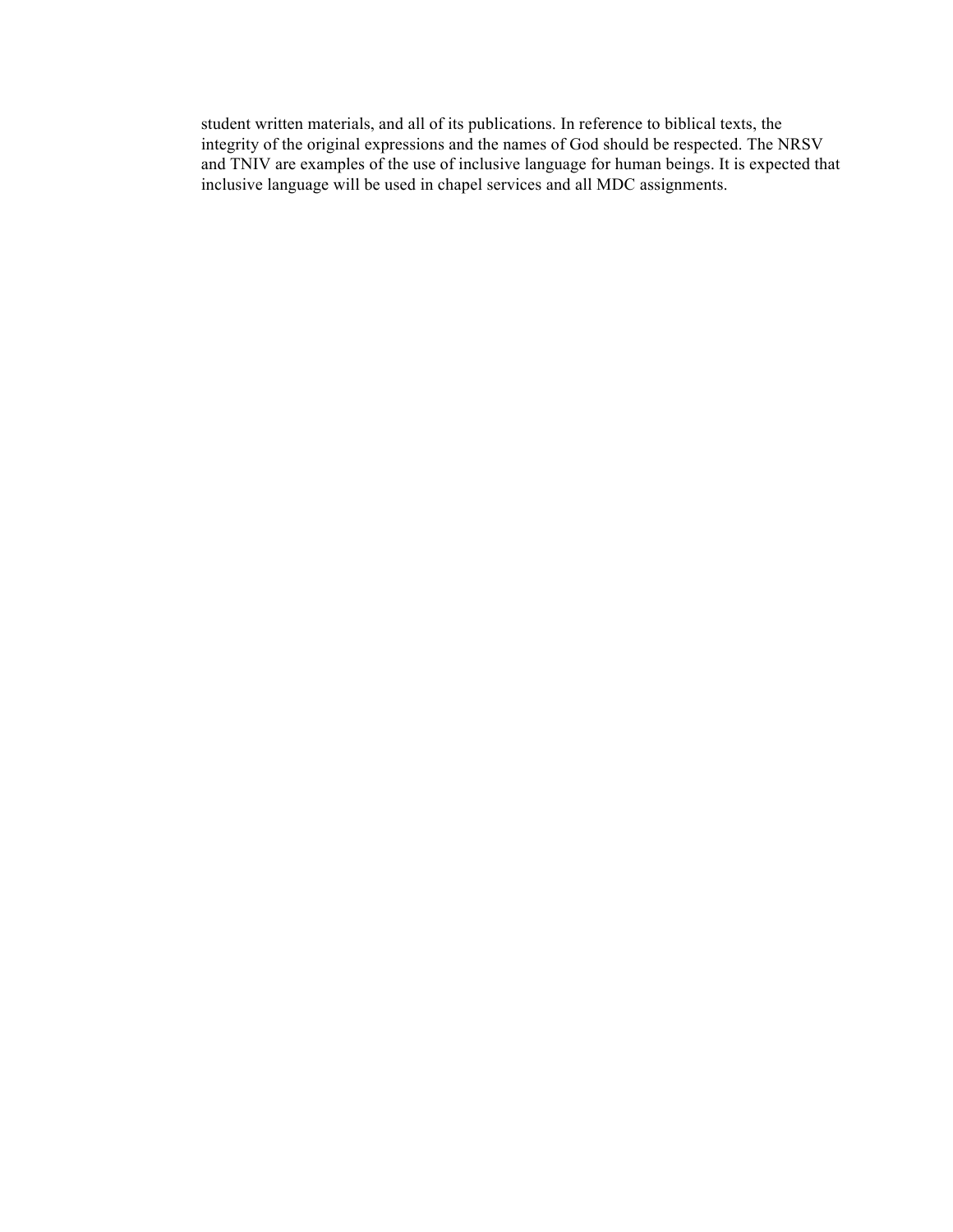student written materials, and all of its publications. In reference to biblical texts, the integrity of the original expressions and the names of God should be respected. The NRSV and TNIV are examples of the use of inclusive language for human beings. It is expected that inclusive language will be used in chapel services and all MDC assignments.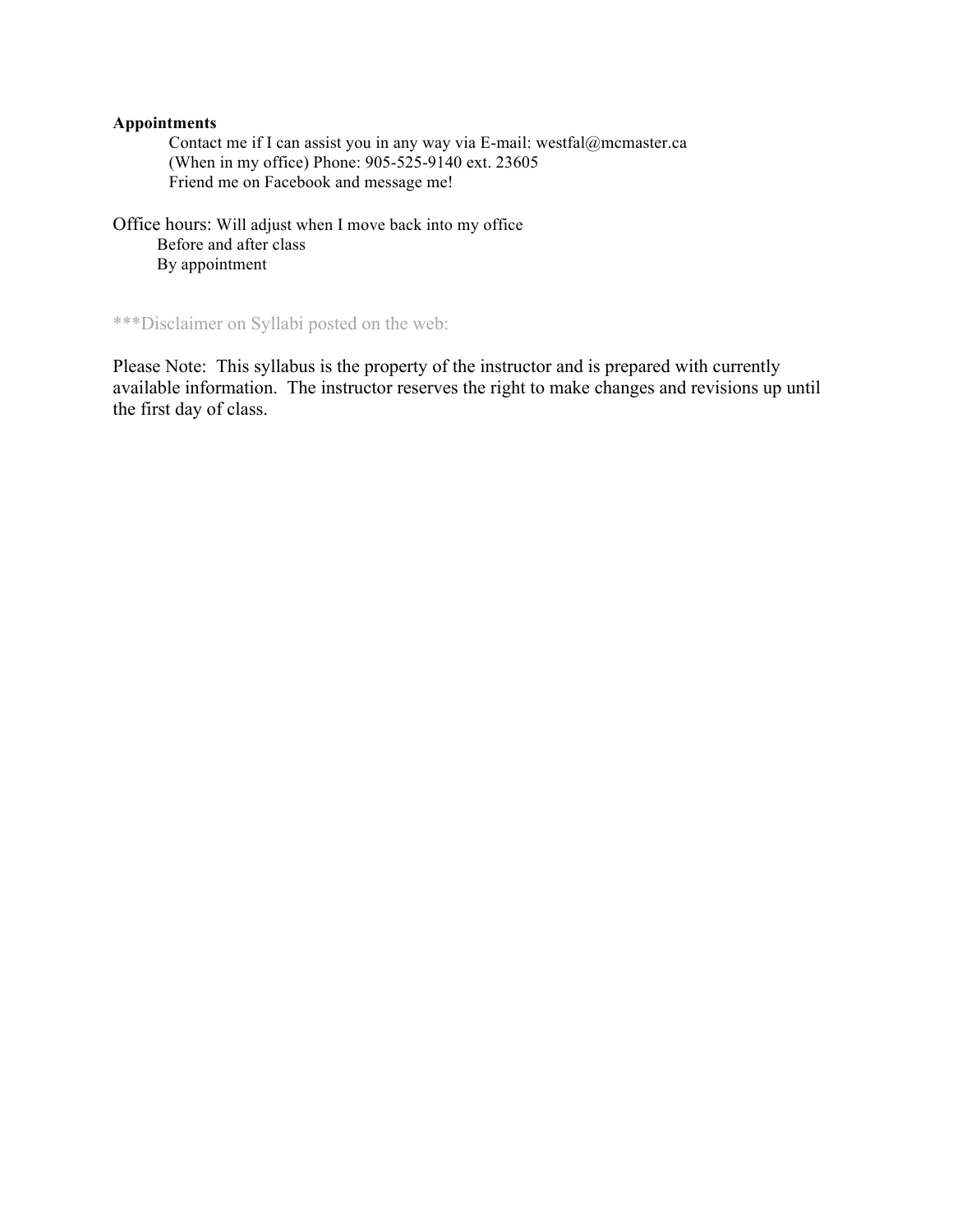## **Appointments**

Contact me if I can assist you in any way via E-mail: westfal@mcmaster.ca (When in my office) Phone: 905-525-9140 ext. 23605 Friend me on Facebook and message me!

Office hours: Will adjust when I move back into my office Before and after class By appointment

\*\*\*Disclaimer on Syllabi posted on the web:

Please Note: This syllabus is the property of the instructor and is prepared with currently available information. The instructor reserves the right to make changes and revisions up until the first day of class.